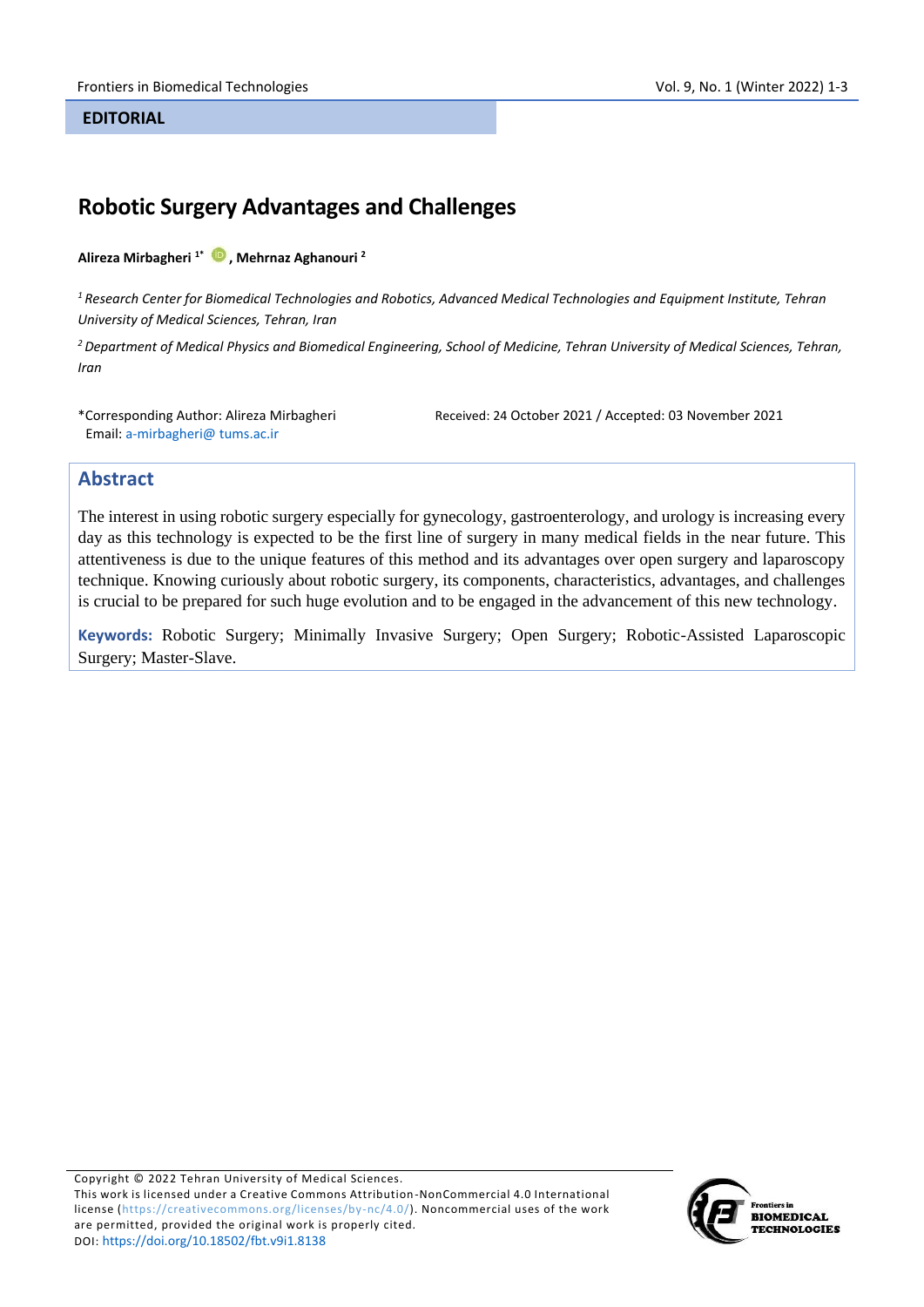#### **EDITORIAL**

# **Robotic Surgery Advantages and Challenges**

#### **Alireza Mirbagheri 1\* [,](https://orcid.org/0000-0001-7716-3287) Mehrnaz Aghanouri <sup>2</sup>**

*<sup>1</sup>Research Center for Biomedical Technologies and Robotics, Advanced Medical Technologies and Equipment Institute, Tehran University of Medical Sciences, Tehran, Iran*

*<sup>2</sup>Department of Medical Physics and Biomedical Engineering, School of Medicine, Tehran University of Medical Sciences, Tehran, Iran*

\*Corresponding Author: Alireza Mirbagheri Email: a-mirbagheri@ tums.ac.ir

Received: 24 October 2021 / Accepted: 03 November 2021

### **Abstract**

The interest in using robotic surgery especially for gynecology, gastroenterology, and urology is increasing every day as this technology is expected to be the first line of surgery in many medical fields in the near future. This attentiveness is due to the unique features of this method and its advantages over open surgery and laparoscopy technique. Knowing curiously about robotic surgery, its components, characteristics, advantages, and challenges is crucial to be prepared for such huge evolution and to be engaged in the advancement of this new technology.

**Keywords:** Robotic Surgery; Minimally Invasive Surgery; Open Surgery; Robotic-Assisted Laparoscopic Surgery; Master-Slave.

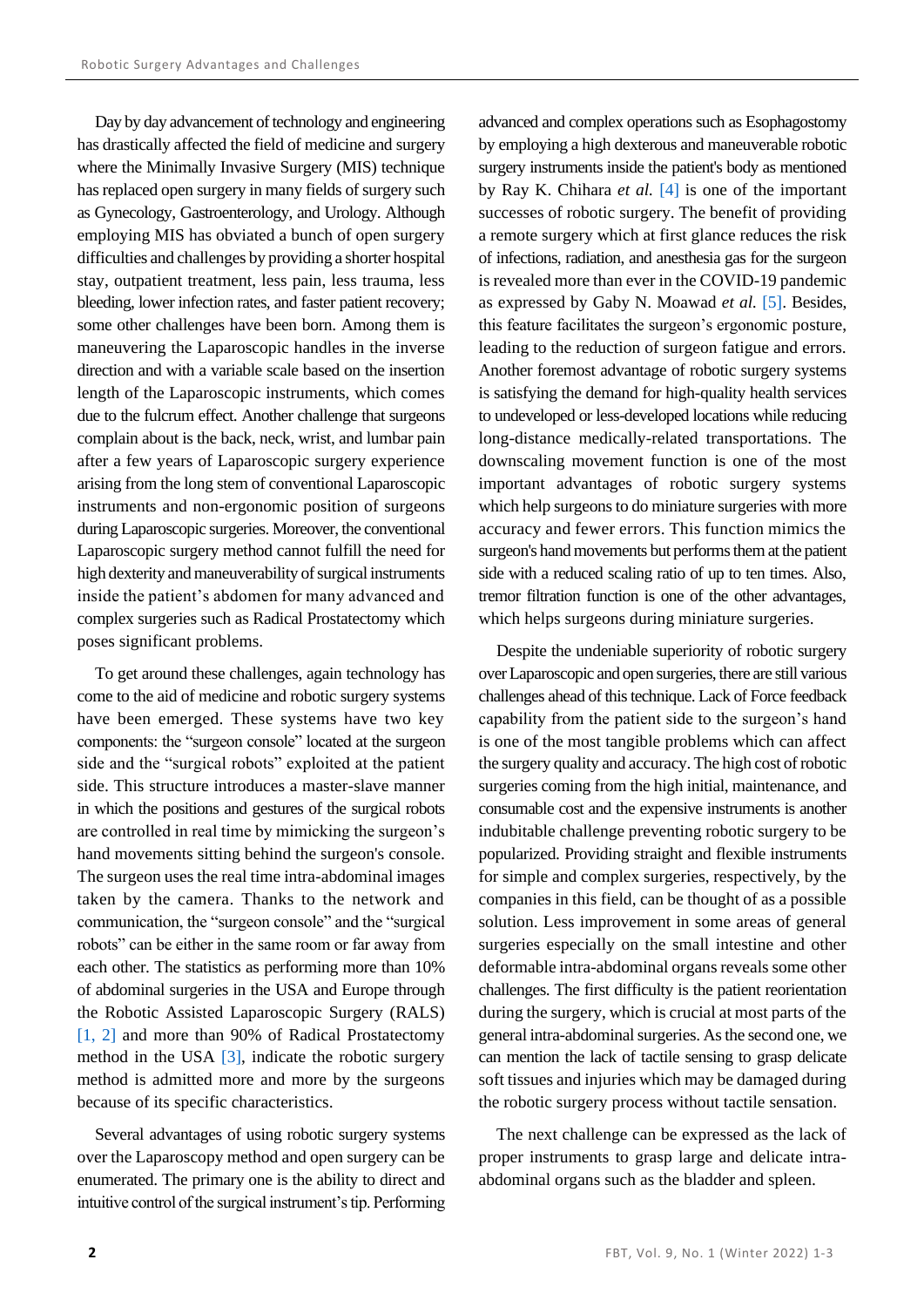Day by day advancement of technology and engineering has drastically affected the field of medicine and surgery where the Minimally Invasive Surgery (MIS) technique has replaced open surgery in many fields of surgery such as Gynecology, Gastroenterology, and Urology. Although employing MIS has obviated a bunch of open surgery difficulties and challenges by providing a shorter hospital stay, outpatient treatment, less pain, less trauma, less bleeding, lower infection rates, and faster patient recovery; some other challenges have been born. Among them is maneuvering the Laparoscopic handles in the inverse direction and with a variable scale based on the insertion length of the Laparoscopic instruments, which comes due to the fulcrum effect. Another challenge that surgeons complain about is the back, neck, wrist, and lumbar pain after a few years of Laparoscopic surgery experience arising from the long stem of conventional Laparoscopic instruments and non-ergonomic position of surgeons during Laparoscopic surgeries. Moreover, the conventional Laparoscopic surgery method cannot fulfill the need for high dexterity and maneuverability of surgical instruments inside the patient's abdomen for many advanced and complex surgeries such as Radical Prostatectomy which poses significant problems.

To get around these challenges, again technology has come to the aid of medicine and robotic surgery systems have been emerged. These systems have two key components: the "surgeon console" located at the surgeon side and the "surgical robots" exploited at the patient side. This structure introduces a master-slave manner in which the positions and gestures of the surgical robots are controlled in real time by mimicking the surgeon's hand movements sitting behind the surgeon's console. The surgeon uses the real time intra-abdominal images taken by the camera. Thanks to the network and communication, the "surgeon console" and the "surgical robots" can be either in the same room or far away from each other. The statistics as performing more than 10% of abdominal surgeries in the USA and Europe through the Robotic Assisted Laparoscopic Surgery (RALS) [\[1,](#page-2-0) [2\]](#page-2-1) and more than 90% of Radical Prostatectomy method in the USA  $[3]$ , indicate the robotic surgery method is admitted more and more by the surgeons because of its specific characteristics.

Several advantages of using robotic surgery systems over the Laparoscopy method and open surgery can be enumerated. The primary one is the ability to direct and intuitive control of the surgical instrument's tip. Performing advanced and complex operations such as Esophagostomy by employing a high dexterous and maneuverable robotic surgery instruments inside the patient's body as mentioned by Ray K. Chihara *et al.* [\[4\]](#page-2-3) is one of the important successes of robotic surgery. The benefit of providing a remote surgery which at first glance reduces the risk of infections, radiation, and anesthesia gas for the surgeon is revealed more than ever in the COVID-19 pandemic as expressed by Gaby N. Moawad *et al.* [\[5\].](#page-2-4) Besides, this feature facilitates the surgeon's ergonomic posture, leading to the reduction of surgeon fatigue and errors. Another foremost advantage of robotic surgery systems is satisfying the demand for high-quality health services to undeveloped or less-developed locations while reducing long-distance medically-related transportations. The downscaling movement function is one of the most important advantages of robotic surgery systems which help surgeons to do miniature surgeries with more accuracy and fewer errors. This function mimics the surgeon's hand movements but performs them at the patient side with a reduced scaling ratio of up to ten times. Also, tremor filtration function is one of the other advantages, which helps surgeons during miniature surgeries.

Despite the undeniable superiority of robotic surgery over Laparoscopic and open surgeries, there are still various challenges ahead of this technique. Lack of Force feedback capability from the patient side to the surgeon's hand is one of the most tangible problems which can affect the surgery quality and accuracy. The high cost of robotic surgeries coming from the high initial, maintenance, and consumable cost and the expensive instruments is another indubitable challenge preventing robotic surgery to be popularized. Providing straight and flexible instruments for simple and complex surgeries, respectively, by the companies in this field, can be thought of as a possible solution. Less improvement in some areas of general surgeries especially on the small intestine and other deformable intra-abdominal organs reveals some other challenges. The first difficulty is the patient reorientation during the surgery, which is crucial at most parts of the general intra-abdominal surgeries. As the second one, we can mention the lack of tactile sensing to grasp delicate soft tissues and injuries which may be damaged during the robotic surgery process without tactile sensation.

The next challenge can be expressed as the lack of proper instruments to grasp large and delicate intraabdominal organs such as the bladder and spleen.